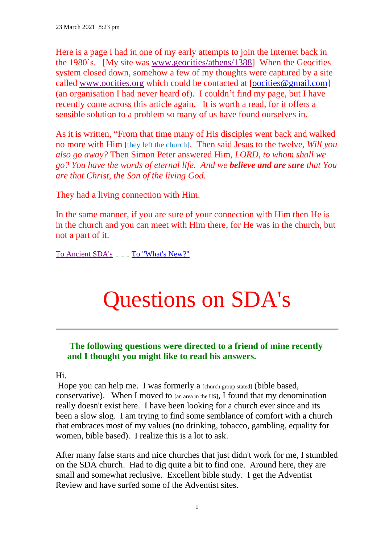Here is a page I had in one of my early attempts to join the Internet back in the 1980's. [My site was [www.geocities/athens/1388\]](http://www.geocities/athens/1388) When the Geocities system closed down, somehow a few of my thoughts were captured by a site called [www.oocities.org](http://www.oocities.org/) which could be contacted at [\[oocities@gmail.com\]](mailto:oocities@gmail.com) (an organisation I had never heard of). I couldn't find my page, but I have recently come across this article again. It is worth a read, for it offers a sensible solution to a problem so many of us have found ourselves in.

As it is written, "From that time many of His disciples went back and walked no more with Him [they left the church]. Then said Jesus to the twelve, *Will you also go away?* Then Simon Peter answered Him, *LORD, to whom shall we go? You have the words of eternal life. And we believe and are sure that You are that Christ, the Son of the living God.* 

They had a living connection with Him.

In the same manner, if you are sure of your connection with Him then He is in the church and you can meet with Him there, for He was in the church, but not a part of it.

[To Ancient SDA's](https://ancient-sda.com/ancient/index.html#top) ............ [To "What's New?"](https://ancient-sda.com/ancient/whats_new.pdf)

# Questions on SDA's

## **The following questions were directed to a friend of mine recently and I thought you might like to read his answers.**

#### Hi.

Hope you can help me. I was formerly a [church group stated] (bible based, conservative). When I moved to [an area in the US], I found that my denomination really doesn't exist here. I have been looking for a church ever since and its been a slow slog. I am trying to find some semblance of comfort with a church that embraces most of my values (no drinking, tobacco, gambling, equality for women, bible based). I realize this is a lot to ask.

After many false starts and nice churches that just didn't work for me, I stumbled on the SDA church. Had to dig quite a bit to find one. Around here, they are small and somewhat reclusive. Excellent bible study. I get the Adventist Review and have surfed some of the Adventist sites.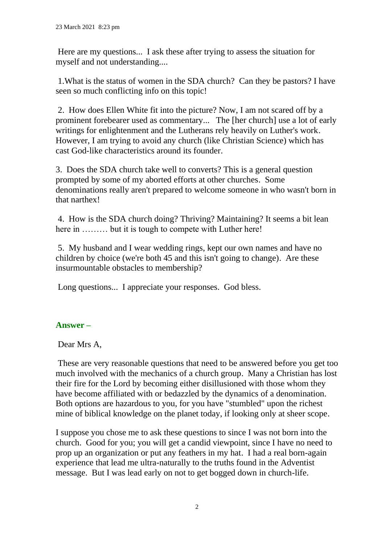Here are my questions... I ask these after trying to assess the situation for myself and not understanding....

1.What is the status of women in the SDA church? Can they be pastors? I have seen so much conflicting info on this topic!

2. How does Ellen White fit into the picture? Now, I am not scared off by a prominent forebearer used as commentary... The [her church] use a lot of early writings for enlightenment and the Lutherans rely heavily on Luther's work. However, I am trying to avoid any church (like Christian Science) which has cast God-like characteristics around its founder.

3. Does the SDA church take well to converts? This is a general question prompted by some of my aborted efforts at other churches. Some denominations really aren't prepared to welcome someone in who wasn't born in that narthex!

4. How is the SDA church doing? Thriving? Maintaining? It seems a bit lean here in ……… but it is tough to compete with Luther here!

5. My husband and I wear wedding rings, kept our own names and have no children by choice (we're both 45 and this isn't going to change). Are these insurmountable obstacles to membership?

Long questions... I appreciate your responses. God bless.

## **Answer –**

Dear Mrs A,

These are very reasonable questions that need to be answered before you get too much involved with the mechanics of a church group. Many a Christian has lost their fire for the Lord by becoming either disillusioned with those whom they have become affiliated with or bedazzled by the dynamics of a denomination. Both options are hazardous to you, for you have "stumbled" upon the richest mine of biblical knowledge on the planet today, if looking only at sheer scope.

I suppose you chose me to ask these questions to since I was not born into the church. Good for you; you will get a candid viewpoint, since I have no need to prop up an organization or put any feathers in my hat. I had a real born-again experience that lead me ultra-naturally to the truths found in the Adventist message. But I was lead early on not to get bogged down in church-life.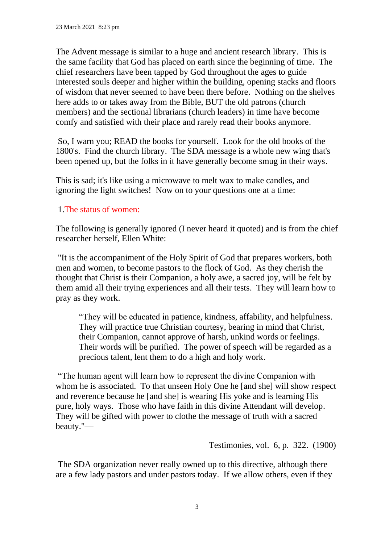The Advent message is similar to a huge and ancient research library. This is the same facility that God has placed on earth since the beginning of time. The chief researchers have been tapped by God throughout the ages to guide interested souls deeper and higher within the building, opening stacks and floors of wisdom that never seemed to have been there before. Nothing on the shelves here adds to or takes away from the Bible, BUT the old patrons (church members) and the sectional librarians (church leaders) in time have become comfy and satisfied with their place and rarely read their books anymore.

So, I warn you; READ the books for yourself. Look for the old books of the 1800's. Find the church library. The SDA message is a whole new wing that's been opened up, but the folks in it have generally become smug in their ways.

This is sad; it's like using a microwave to melt wax to make candles, and ignoring the light switches! Now on to your questions one at a time:

## 1.The status of women:

The following is generally ignored (I never heard it quoted) and is from the chief researcher herself, Ellen White:

"It is the accompaniment of the Holy Spirit of God that prepares workers, both men and women, to become pastors to the flock of God. As they cherish the thought that Christ is their Companion, a holy awe, a sacred joy, will be felt by them amid all their trying experiences and all their tests. They will learn how to pray as they work.

"They will be educated in patience, kindness, affability, and helpfulness. They will practice true Christian courtesy, bearing in mind that Christ, their Companion, cannot approve of harsh, unkind words or feelings. Their words will be purified. The power of speech will be regarded as a precious talent, lent them to do a high and holy work.

"The human agent will learn how to represent the divine Companion with whom he is associated. To that unseen Holy One he [and she] will show respect and reverence because he [and she] is wearing His yoke and is learning His pure, holy ways. Those who have faith in this divine Attendant will develop. They will be gifted with power to clothe the message of truth with a sacred beauty."—

Testimonies, vol. 6, p. 322. (1900)

The SDA organization never really owned up to this directive, although there are a few lady pastors and under pastors today. If we allow others, even if they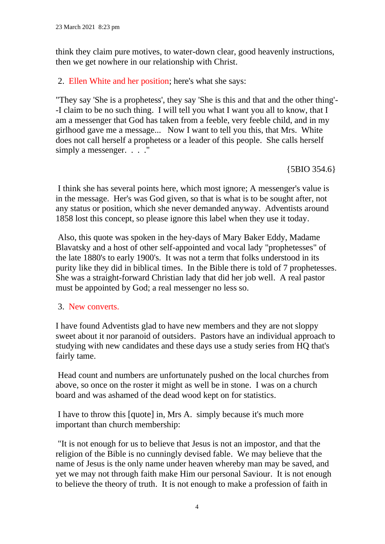think they claim pure motives, to water-down clear, good heavenly instructions, then we get nowhere in our relationship with Christ.

2. Ellen White and her position; here's what she says:

"They say 'She is a prophetess', they say 'She is this and that and the other thing'- -I claim to be no such thing. I will tell you what I want you all to know, that I am a messenger that God has taken from a feeble, very feeble child, and in my girlhood gave me a message... Now I want to tell you this, that Mrs. White does not call herself a prophetess or a leader of this people. She calls herself simply a messenger. . . . "

{5BIO 354.6}

I think she has several points here, which most ignore; A messenger's value is in the message. Her's was God given, so that is what is to be sought after, not any status or position, which she never demanded anyway. Adventists around 1858 lost this concept, so please ignore this label when they use it today.

Also, this quote was spoken in the hey-days of Mary Baker Eddy, Madame Blavatsky and a host of other self-appointed and vocal lady "prophetesses" of the late 1880's to early 1900's. It was not a term that folks understood in its purity like they did in biblical times. In the Bible there is told of 7 prophetesses. She was a straight-forward Christian lady that did her job well. A real pastor must be appointed by God; a real messenger no less so.

#### 3. New converts.

I have found Adventists glad to have new members and they are not sloppy sweet about it nor paranoid of outsiders. Pastors have an individual approach to studying with new candidates and these days use a study series from HQ that's fairly tame.

Head count and numbers are unfortunately pushed on the local churches from above, so once on the roster it might as well be in stone. I was on a church board and was ashamed of the dead wood kept on for statistics.

I have to throw this [quote] in, Mrs A. simply because it's much more important than church membership:

"It is not enough for us to believe that Jesus is not an impostor, and that the religion of the Bible is no cunningly devised fable. We may believe that the name of Jesus is the only name under heaven whereby man may be saved, and yet we may not through faith make Him our personal Saviour. It is not enough to believe the theory of truth. It is not enough to make a profession of faith in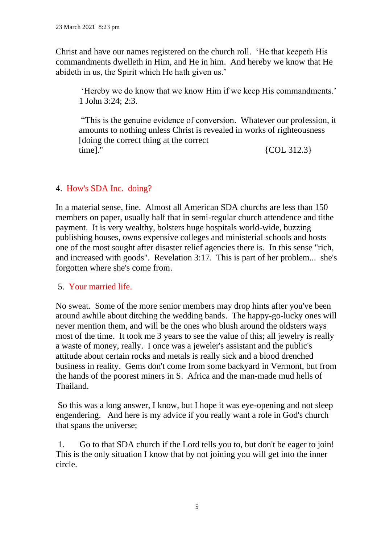Christ and have our names registered on the church roll. 'He that keepeth His commandments dwelleth in Him, and He in him. And hereby we know that He abideth in us, the Spirit which He hath given us.'

'Hereby we do know that we know Him if we keep His commandments.' 1 John 3:24; 2:3.

"This is the genuine evidence of conversion. Whatever our profession, it amounts to nothing unless Christ is revealed in works of righteousness [doing the correct thing at the correct time]."  ${COL} 312.3$ 

### 4. How's SDA Inc. doing?

In a material sense, fine. Almost all American SDA churchs are less than 150 members on paper, usually half that in semi-regular church attendence and tithe payment. It is very wealthy, bolsters huge hospitals world-wide, buzzing publishing houses, owns expensive colleges and ministerial schools and hosts one of the most sought after disaster relief agencies there is. In this sense "rich, and increased with goods". Revelation 3:17. This is part of her problem... she's forgotten where she's come from.

#### 5. Your married life.

No sweat. Some of the more senior members may drop hints after you've been around awhile about ditching the wedding bands. The happy-go-lucky ones will never mention them, and will be the ones who blush around the oldsters ways most of the time. It took me 3 years to see the value of this; all jewelry is really a waste of money, really. I once was a jeweler's assistant and the public's attitude about certain rocks and metals is really sick and a blood drenched business in reality. Gems don't come from some backyard in Vermont, but from the hands of the poorest miners in S. Africa and the man-made mud hells of Thailand.

So this was a long answer, I know, but I hope it was eye-opening and not sleep engendering. And here is my advice if you really want a role in God's church that spans the universe;

1. Go to that SDA church if the Lord tells you to, but don't be eager to join! This is the only situation I know that by not joining you will get into the inner circle.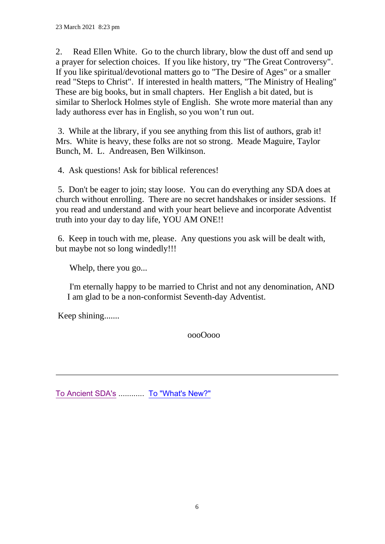2. Read Ellen White. Go to the church library, blow the dust off and send up a prayer for selection choices. If you like history, try "The Great Controversy". If you like spiritual/devotional matters go to "The Desire of Ages" or a smaller read "Steps to Christ". If interested in health matters, "The Ministry of Healing" These are big books, but in small chapters. Her English a bit dated, but is similar to Sherlock Holmes style of English. She wrote more material than any lady authoress ever has in English, so you won't run out.

3. While at the library, if you see anything from this list of authors, grab it! Mrs. White is heavy, these folks are not so strong. Meade Maguire, Taylor Bunch, M. L. Andreasen, Ben Wilkinson.

4. Ask questions! Ask for biblical references!

5. Don't be eager to join; stay loose. You can do everything any SDA does at church without enrolling. There are no secret handshakes or insider sessions. If you read and understand and with your heart believe and incorporate Adventist truth into your day to day life, YOU AM ONE!!

6. Keep in touch with me, please. Any questions you ask will be dealt with, but maybe not so long windedly!!!

Whelp, there you go...

I'm eternally happy to be married to Christ and not any denomination, AND I am glad to be a non-conformist Seventh-day Adventist.

Keep shining.......

oooOooo

[To Ancient SDA's](https://ancient-sda.com/ancient/index.html#top) ............ [To "What's New?"](https://ancient-sda.com/ancient/whats_new.pdf)